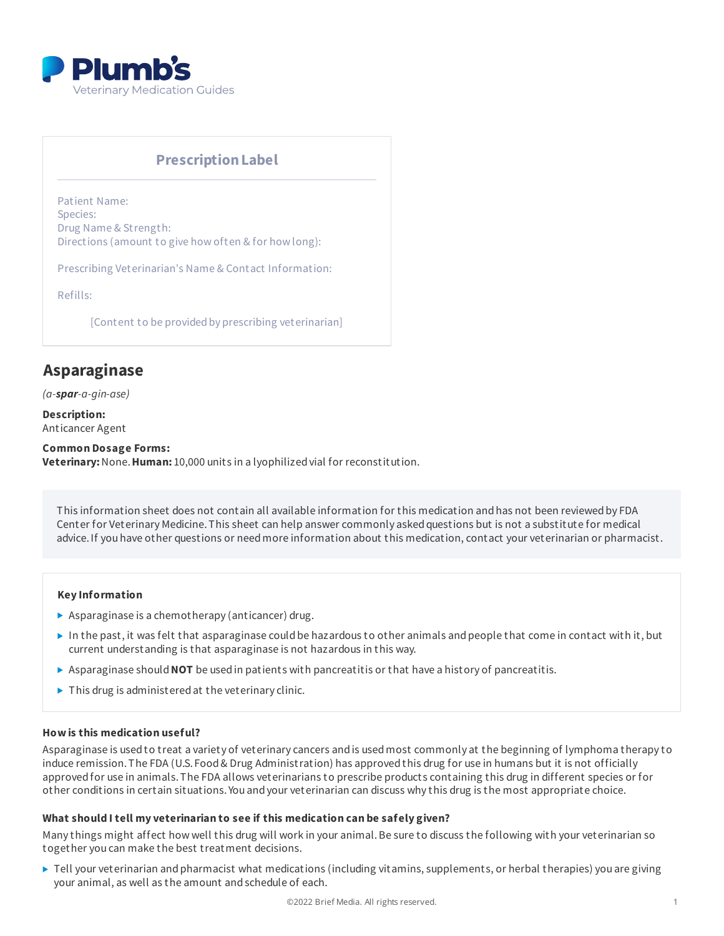

# **PrescriptionLabel**

Patient Name: Species: Drug Name & Strength: Directions (amount to give how often & for how long):

Prescribing Veterinarian's Name & Contact Information:

Refills:

[Content to be provided by prescribing veterinarian]

# **Asparaginase**

*(a-spar-a-gin-ase)*

**Description:** Anticancer Agent

**Common Dosage Forms: Veterinary:**None.**Human:** 10,000 units in a lyophilizedvial for reconstitution.

This information sheet does not contain all available information for this medication andhas not been reviewedby FDA Center for Veterinary Medicine. This sheet can help answer commonly asked questions but is not a substitute for medical advice.If you have other questions or needmore information about this medication, contact your veterinarian or pharmacist.

#### **Key Information**

- $\triangleright$  Asparaginase is a chemotherapy (anticancer) drug.
- In the past, it was felt that asparaginase could be hazardous to other animals and people that come in contact with it, but current understanding is that asparaginase is not hazardous in this way.
- Asparaginase should**NOT** be usedin patients with pancreatitis or that have a history of pancreatitis.
- $\triangleright$  This drug is administered at the veterinary clinic.

#### **How is this medication useful?**

Asparaginase is usedto treat a variety of veterinary cancers andis usedmost commonly at the beginning of lymphoma therapy to induce remission.The FDA (U.S. Food& Drug Administration) has approvedthis drug for use in humans but it is not officially approvedfor use in animals.The FDA allows veterinarians to prescribe products containing this drug in different species or for other conditions in certain situations. You andyour veterinarian can discuss why this drug is the most appropriate choice.

# **What should I tell my veterinarian to see if this medication can be safely given?**

Many things might affect how well this drug will work in your animal.Be sure to discuss the following with your veterinarian so together you can make the best treatment decisions.

▶ Tell your veterinarian and pharmacist what medications (including vitamins, supplements, or herbal therapies) you are giving your animal, as well as the amount andschedule of each.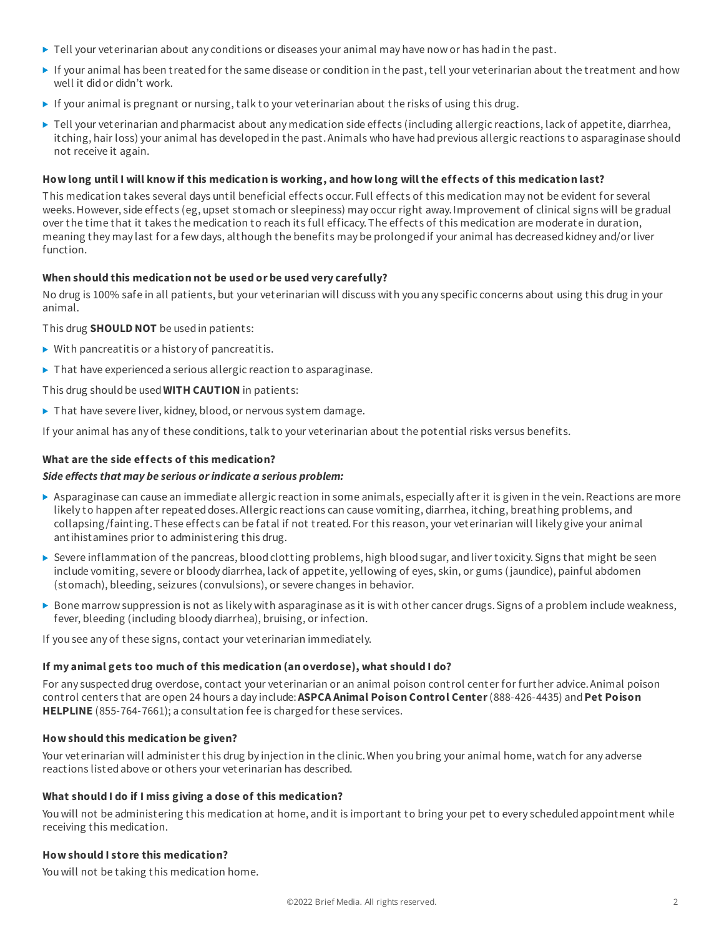- $\blacktriangleright$  Tell your veterinarian about any conditions or diseases your animal may have now or has had in the past.
- If your animal has been treatedfor the same disease or condition in the past, tell your veterinarian about the treatment andhow well it didor didn't work.
- If your animal is pregnant or nursing, talk to your veterinarian about the risks of using this drug.
- ▶ Tell your veterinarian and pharmacist about any medication side effects (including allergic reactions, lack of appetite, diarrhea, itching, hair loss) your animal has developed in the past. Animals who have had previous allergic reactions to asparaginase should not receive it again.

# How long until I will know if this medication is working, and how long will the effects of this medication last?

This medication takes several days until beneficial effects occur. Full effects of this medication may not be evident for several weeks.However, side effects (eg, upset stomach or sleepiness) may occur right away.Improvement of clinical signs will be gradual over the time that it takes the medication to reach its full efficacy.The effects of this medication are moderate in duration, meaning they may last for a few days, although the benefits may be prolongedif your animal has decreasedkidney and/or liver function.

# **When should this medication not be used or be used very carefully?**

No drug is 100% safe in all patients, but your veterinarian will discuss with you any specific concerns about using this drug in your animal.

This drug **SHOULD NOT** be usedin patients:

- $\triangleright$  With pancreatitis or a history of pancreatitis.
- ▶ That have experienced a serious allergic reaction to asparaginase.

This drug shouldbe used**WITH CAUTION** in patients:

▶ That have severe liver, kidney, blood, or nervous system damage.

If your animal has any of these conditions, talk to your veterinarian about the potential risks versus benefits.

# **What are the side effects of this medication?**

#### *Side effects that may be serious orindicate a serious problem:*

- Asparaginase can cause an immediate allergic reaction in some animals, especially after it is given in the vein.Reactions are more likely to happen after repeateddoses.Allergic reactions can cause vomiting, diarrhea, itching, breathing problems, and collapsing/fainting.These effects can be fatal if not treated. For this reason, your veterinarian will likely give your animal antihistamines prior to administering this drug.
- $\triangleright$  Severe inflammation of the pancreas, blood clotting problems, high blood sugar, and liver toxicity. Signs that might be seen include vomiting, severe or bloody diarrhea, lack of appetite, yellowing of eyes, skin, or gums (jaundice), painful abdomen (stomach), bleeding, seizures (convulsions), or severe changes in behavior.
- ▶ Bone marrow suppression is not as likely with asparaginase as it is with other cancer drugs. Signs of a problem include weakness, fever, bleeding (including bloody diarrhea), bruising, or infection.

If you see any of these signs, contact your veterinarian immediately.

# **If my animal gets too much of this medication (an overdose), what should I do?**

For any suspected drug overdose, contact your veterinarian or an animal poison control center for further advice. Animal poison control centers that are open 24 hours a day include:**ASPCA Animal Poison Control Center**(888-426-4435) and**Pet Poison HELPLINE** (855-764-7661); a consultation fee is chargedfor these services.

# **How should this medication be given?**

Your veterinarian will administer this drug by injection in the clinic.When you bring your animal home, watch for any adverse reactions listedabove or others your veterinarian has described.

# **What should I do if I miss giving a dose of this medication?**

You will not be administering this medication at home, and it is important to bring your pet to every scheduled appointment while receiving this medication.

# **How should I store this medication?**

Youwill not be taking this medication home.